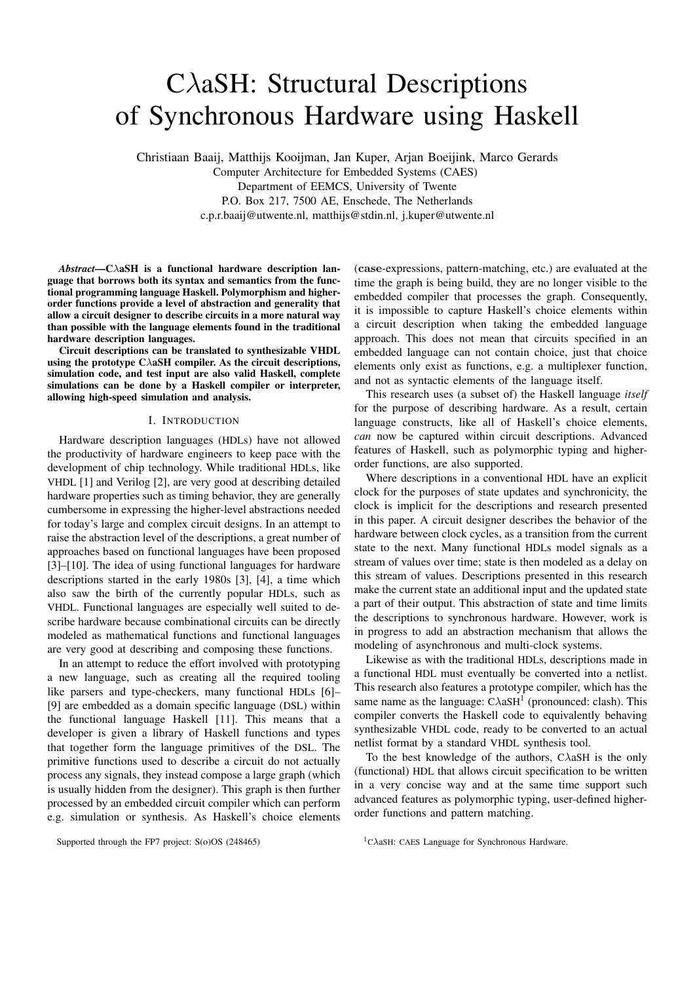# CλaSH: Structural Descriptions of Synchronous Hardware using Haskell

Christiaan Baaij, Matthijs Kooijman, Jan Kuper, Arjan Boeijink, Marco Gerards Computer Architecture for Embedded Systems (CAES) Department of EEMCS, University of Twente P.O. Box 217, 7500 AE, Enschede, The Netherlands c.p.r.baaij@utwente.nl, matthijs@stdin.nl, j.kuper@utwente.nl

*Abstract*—CλaSH is a functional hardware description language that borrows both its syntax and semantics from the functional programming language Haskell. Polymorphism and higherorder functions provide a level of abstraction and generality that allow a circuit designer to describe circuits in a more natural way than possible with the language elements found in the traditional hardware description languages.

Circuit descriptions can be translated to synthesizable VHDL using the prototype CλaSH compiler. As the circuit descriptions, simulation code, and test input are also valid Haskell, complete simulations can be done by a Haskell compiler or interpreter, allowing high-speed simulation and analysis.

#### I. INTRODUCTION

Hardware description languages (HDLs) have not allowed the productivity of hardware engineers to keep pace with the development of chip technology. While traditional HDLs, like VHDL [1] and Verilog [2], are very good at describing detailed hardware properties such as timing behavior, they are generally cumbersome in expressing the higher-level abstractions needed for today's large and complex circuit designs. In an attempt to raise the abstraction level of the descriptions, a great number of approaches based on functional languages have been proposed [3]–[10]. The idea of using functional languages for hardware descriptions started in the early 1980s [3], [4], a time which also saw the birth of the currently popular HDLs, such as VHDL. Functional languages are especially well suited to describe hardware because combinational circuits can be directly modeled as mathematical functions and functional languages are very good at describing and composing these functions.

In an attempt to reduce the effort involved with prototyping a new language, such as creating all the required tooling like parsers and type-checkers, many functional HDLs [6]– [9] are embedded as a domain specific language (DSL) within the functional language Haskell [11]. This means that a developer is given a library of Haskell functions and types that together form the language primitives of the DSL. The primitive functions used to describe a circuit do not actually process any signals, they instead compose a large graph (which is usually hidden from the designer). This graph is then further processed by an embedded circuit compiler which can perform e.g. simulation or synthesis. As Haskell's choice elements

Supported through the FP7 project: S(o)OS (248465)

(case-expressions, pattern-matching, etc.) are evaluated at the time the graph is being build, they are no longer visible to the embedded compiler that processes the graph. Consequently, it is impossible to capture Haskell's choice elements within a circuit description when taking the embedded language approach. This does not mean that circuits specified in an embedded language can not contain choice, just that choice elements only exist as functions, e.g. a multiplexer function, and not as syntactic elements of the language itself.

This research uses (a subset of) the Haskell language *itself* for the purpose of describing hardware. As a result, certain language constructs, like all of Haskell's choice elements, *can* now be captured within circuit descriptions. Advanced features of Haskell, such as polymorphic typing and higherorder functions, are also supported.

Where descriptions in a conventional HDL have an explicit clock for the purposes of state updates and synchronicity, the clock is implicit for the descriptions and research presented in this paper. A circuit designer describes the behavior of the hardware between clock cycles, as a transition from the current state to the next. Many functional HDLs model signals as a stream of values over time; state is then modeled as a delay on this stream of values. Descriptions presented in this research make the current state an additional input and the updated state a part of their output. This abstraction of state and time limits the descriptions to synchronous hardware. However, work is in progress to add an abstraction mechanism that allows the modeling of asynchronous and multi-clock systems.

Likewise as with the traditional HDLs, descriptions made in a functional HDL must eventually be converted into a netlist. This research also features a prototype compiler, which has the same name as the language:  $C\lambda$ aSH<sup>1</sup> (pronounced: clash). This compiler converts the Haskell code to equivalently behaving synthesizable VHDL code, ready to be converted to an actual netlist format by a standard VHDL synthesis tool.

To the best knowledge of the authors,  $C\lambda$  as H is the only (functional) HDL that allows circuit specification to be written in a very concise way and at the same time support such advanced features as polymorphic typing, user-defined higherorder functions and pattern matching.

<sup>&</sup>lt;sup>1</sup>C $\lambda$ aSH: CAES Language for Synchronous Hardware.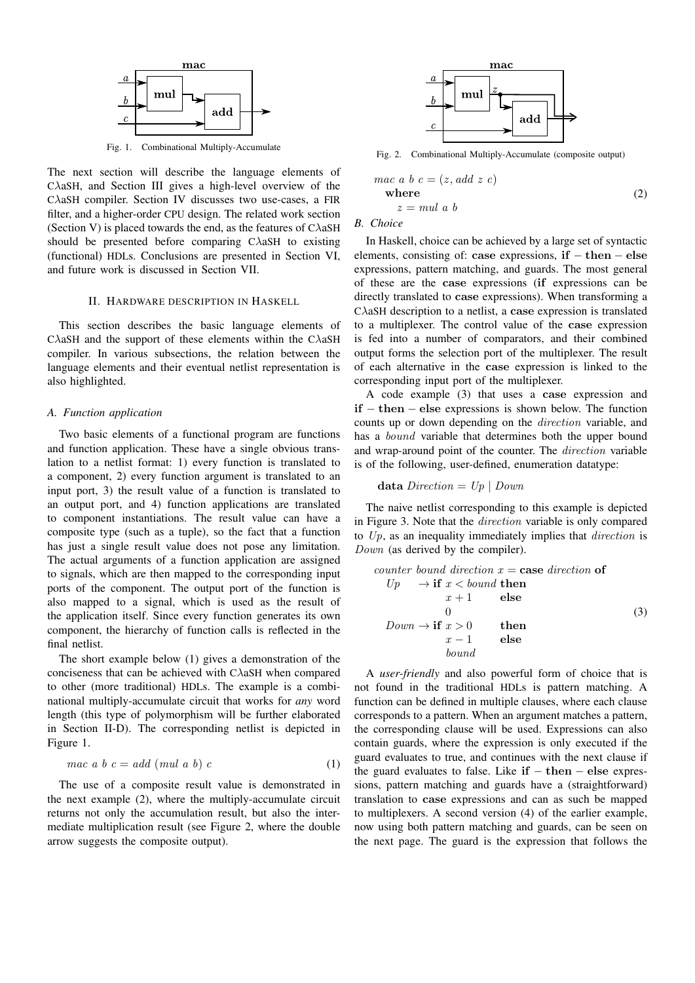

Fig. 1. Combinational Multiply-Accumulate

The next section will describe the language elements of CλaSH, and Section III gives a high-level overview of the CλaSH compiler. Section IV discusses two use-cases, a FIR filter, and a higher-order CPU design. The related work section (Section V) is placed towards the end, as the features of  $C\lambda$ aSH should be presented before comparing CλaSH to existing (functional) HDLs. Conclusions are presented in Section VI, and future work is discussed in Section VII.

## II. HARDWARE DESCRIPTION IN HASKELL

This section describes the basic language elements of CλaSH and the support of these elements within the CλaSH compiler. In various subsections, the relation between the language elements and their eventual netlist representation is also highlighted.

## *A. Function application*

Two basic elements of a functional program are functions and function application. These have a single obvious translation to a netlist format: 1) every function is translated to a component, 2) every function argument is translated to an input port, 3) the result value of a function is translated to an output port, and 4) function applications are translated to component instantiations. The result value can have a composite type (such as a tuple), so the fact that a function has just a single result value does not pose any limitation. The actual arguments of a function application are assigned to signals, which are then mapped to the corresponding input ports of the component. The output port of the function is also mapped to a signal, which is used as the result of the application itself. Since every function generates its own component, the hierarchy of function calls is reflected in the final netlist.

The short example below (1) gives a demonstration of the conciseness that can be achieved with CλaSH when compared to other (more traditional) HDLs. The example is a combinational multiply-accumulate circuit that works for *any* word length (this type of polymorphism will be further elaborated in Section II-D). The corresponding netlist is depicted in Figure 1.

$$
mac\ a\ b\ c = add\ (mul\ a\ b)\ c\tag{1}
$$

The use of a composite result value is demonstrated in the next example (2), where the multiply-accumulate circuit returns not only the accumulation result, but also the intermediate multiplication result (see Figure 2, where the double arrow suggests the composite output).



Fig. 2. Combinational Multiply-Accumulate (composite output)

$$
mac \ a \ b \ c = (z, add \ z \ c)
$$
  
where  

$$
z = mul \ a \ b
$$
 (2)

*B. Choice*

In Haskell, choice can be achieved by a large set of syntactic elements, consisting of: case expressions, if  $-$  then  $-$  else expressions, pattern matching, and guards. The most general of these are the case expressions (if expressions can be directly translated to case expressions). When transforming a CλaSH description to a netlist, a case expression is translated to a multiplexer. The control value of the case expression is fed into a number of comparators, and their combined output forms the selection port of the multiplexer. The result of each alternative in the case expression is linked to the corresponding input port of the multiplexer.

A code example (3) that uses a case expression and if − then − else expressions is shown below. The function counts up or down depending on the direction variable, and has a bound variable that determines both the upper bound and wrap-around point of the counter. The direction variable is of the following, user-defined, enumeration datatype:

$$
data\;Direction = Up \mid Down
$$

The naive netlist corresponding to this example is depicted in Figure 3. Note that the direction variable is only compared to  $Up$ , as an inequality immediately implies that *direction* is Down (as derived by the compiler).

| counter bound direction $x = \text{case direction of}$ |      |
|--------------------------------------------------------|------|
| $Up \rightarrow \text{if } x < bound \text{ then}$     |      |
| $x + 1$                                                | else |
| $0$                                                    |      |
| $Down \rightarrow \text{if } x > 0$                    |      |
| $x - 1$                                                | else |
| $bound$                                                |      |

A *user-friendly* and also powerful form of choice that is not found in the traditional HDLs is pattern matching. A function can be defined in multiple clauses, where each clause corresponds to a pattern. When an argument matches a pattern, the corresponding clause will be used. Expressions can also contain guards, where the expression is only executed if the guard evaluates to true, and continues with the next clause if the guard evaluates to false. Like if  $-$  then  $-$  else expressions, pattern matching and guards have a (straightforward) translation to case expressions and can as such be mapped to multiplexers. A second version (4) of the earlier example, now using both pattern matching and guards, can be seen on the next page. The guard is the expression that follows the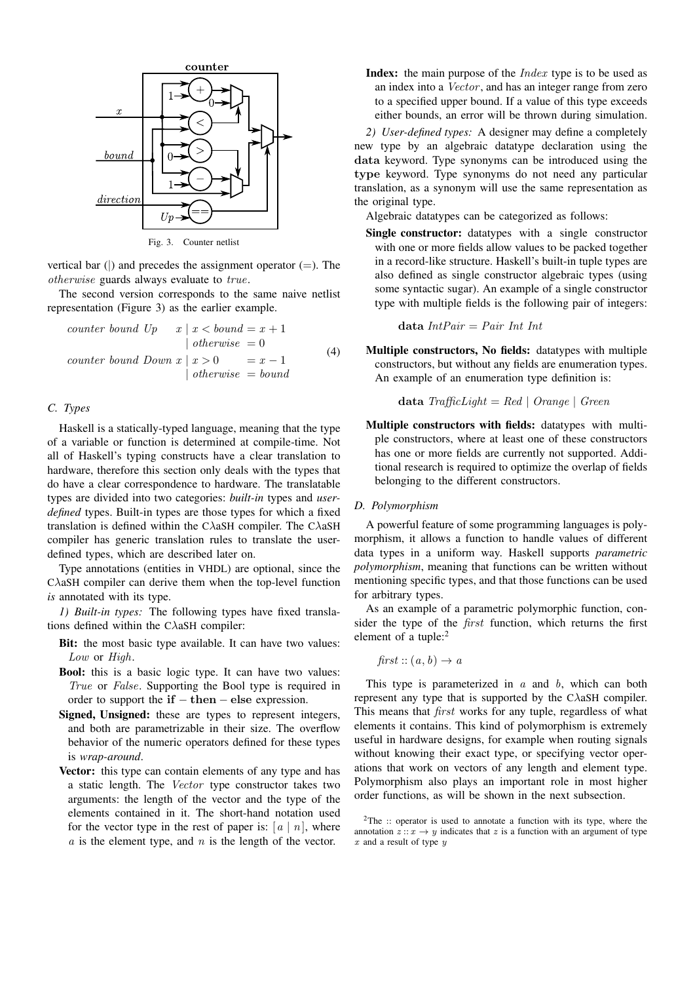

Fig. 3. Counter netlist

vertical bar ( $\vert$ ) and precedes the assignment operator  $(=)$ . The otherwise guards always evaluate to true.

The second version corresponds to the same naive netlist representation (Figure 3) as the earlier example.

counter bound Up 
$$
x \mid x < bound = x + 1
$$

\n $| \text{ otherwise } = 0$ 

\ncounter bound Down  $x \mid x > 0$   $= x - 1$ 

\n $| \text{ otherwise } = \text{bound}$ 

\n(4)

## *C. Types*

Haskell is a statically-typed language, meaning that the type of a variable or function is determined at compile-time. Not all of Haskell's typing constructs have a clear translation to hardware, therefore this section only deals with the types that do have a clear correspondence to hardware. The translatable types are divided into two categories: *built-in* types and *userdefined* types. Built-in types are those types for which a fixed translation is defined within the CλaSH compiler. The CλaSH compiler has generic translation rules to translate the userdefined types, which are described later on.

Type annotations (entities in VHDL) are optional, since the CλaSH compiler can derive them when the top-level function *is* annotated with its type.

*1) Built-in types:* The following types have fixed translations defined within the CλaSH compiler:

- Bit: the most basic type available. It can have two values: Low or High.
- Bool: this is a basic logic type. It can have two values: True or False. Supporting the Bool type is required in order to support the if  $-$  then  $-$  else expression.
- Signed, Unsigned: these are types to represent integers, and both are parametrizable in their size. The overflow behavior of the numeric operators defined for these types is *wrap-around*.
- Vector: this type can contain elements of any type and has a static length. The Vector type constructor takes two arguments: the length of the vector and the type of the elements contained in it. The short-hand notation used for the vector type in the rest of paper is:  $[a | n]$ , where  $a$  is the element type, and  $n$  is the length of the vector.

Index: the main purpose of the *Index* type is to be used as an index into a *Vector*, and has an integer range from zero to a specified upper bound. If a value of this type exceeds either bounds, an error will be thrown during simulation.

*2) User-defined types:* A designer may define a completely new type by an algebraic datatype declaration using the data keyword. Type synonyms can be introduced using the type keyword. Type synonyms do not need any particular translation, as a synonym will use the same representation as the original type.

Algebraic datatypes can be categorized as follows:

Single constructor: datatypes with a single constructor with one or more fields allow values to be packed together in a record-like structure. Haskell's built-in tuple types are also defined as single constructor algebraic types (using some syntactic sugar). An example of a single constructor type with multiple fields is the following pair of integers:

data  $IntPair = Pair Int Int$ 

Multiple constructors, No fields: datatypes with multiple constructors, but without any fields are enumeration types. An example of an enumeration type definition is:

data  $T \nrightarrow$   $\text{Left}$   $\text{Left}$   $\text{Left}$   $\text{Left}$   $\text{Left}$   $\text{Left}$   $\text{Left}$   $\text{Left}$   $\text{Left}$   $\text{Left}$   $\text{Left}$   $\text{Left}$   $\text{Left}$   $\text{Left}$   $\text{Left}$   $\text{Left}$   $\text{Left}$   $\text{Left}$   $\text{Left}$   $\text{Left}$   $\text{Left}$   $\text{Left}$   $\text{Left}$   $\text{Left}$   $\text{Left}$   $\text{Left}$ 

Multiple constructors with fields: datatypes with multiple constructors, where at least one of these constructors has one or more fields are currently not supported. Additional research is required to optimize the overlap of fields belonging to the different constructors.

#### *D. Polymorphism*

A powerful feature of some programming languages is polymorphism, it allows a function to handle values of different data types in a uniform way. Haskell supports *parametric polymorphism*, meaning that functions can be written without mentioning specific types, and that those functions can be used for arbitrary types.

As an example of a parametric polymorphic function, consider the type of the *first* function, which returns the first element of a tuple: $<sup>2</sup>$ </sup>

$$
first :: (a, b) \to a
$$

This type is parameterized in  $a$  and  $b$ , which can both represent any type that is supported by the CλaSH compiler. This means that *first* works for any tuple, regardless of what elements it contains. This kind of polymorphism is extremely useful in hardware designs, for example when routing signals without knowing their exact type, or specifying vector operations that work on vectors of any length and element type. Polymorphism also plays an important role in most higher order functions, as will be shown in the next subsection.

<sup>&</sup>lt;sup>2</sup>The :: operator is used to annotate a function with its type, where the annotation  $z: x \to y$  indicates that z is a function with an argument of type  $x$  and a result of type  $y$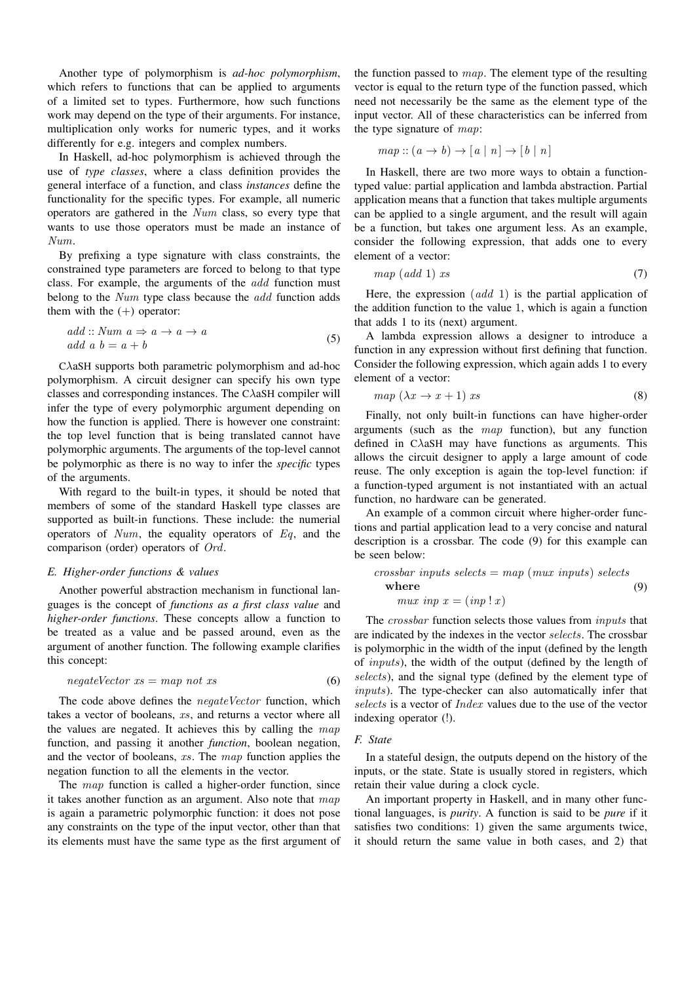Another type of polymorphism is *ad-hoc polymorphism*, which refers to functions that can be applied to arguments of a limited set to types. Furthermore, how such functions work may depend on the type of their arguments. For instance, multiplication only works for numeric types, and it works differently for e.g. integers and complex numbers.

In Haskell, ad-hoc polymorphism is achieved through the use of *type classes*, where a class definition provides the general interface of a function, and class *instances* define the functionality for the specific types. For example, all numeric operators are gathered in the Num class, so every type that wants to use those operators must be made an instance of Num.

By prefixing a type signature with class constraints, the constrained type parameters are forced to belong to that type class. For example, the arguments of the add function must belong to the Num type class because the add function adds them with the  $(+)$  operator:

add :: Num 
$$
a \Rightarrow a \to a \to a
$$
  
add a  $b = a + b$  (5)

CλaSH supports both parametric polymorphism and ad-hoc polymorphism. A circuit designer can specify his own type classes and corresponding instances. The  $C\lambda$ aSH compiler will infer the type of every polymorphic argument depending on how the function is applied. There is however one constraint: the top level function that is being translated cannot have polymorphic arguments. The arguments of the top-level cannot be polymorphic as there is no way to infer the *specific* types of the arguments.

With regard to the built-in types, it should be noted that members of some of the standard Haskell type classes are supported as built-in functions. These include: the numerial operators of  $Num$ , the equality operators of  $Eq$ , and the comparison (order) operators of Ord.

## *E. Higher-order functions & values*

Another powerful abstraction mechanism in functional languages is the concept of *functions as a first class value* and *higher-order functions*. These concepts allow a function to be treated as a value and be passed around, even as the argument of another function. The following example clarifies this concept:

$$
negativeVector \; xs = map \; not \; xs \tag{6}
$$

The code above defines the *negateVector* function, which takes a vector of booleans, xs, and returns a vector where all the values are negated. It achieves this by calling the map function, and passing it another *function*, boolean negation, and the vector of booleans, xs. The map function applies the negation function to all the elements in the vector.

The *map* function is called a higher-order function, since it takes another function as an argument. Also note that map is again a parametric polymorphic function: it does not pose any constraints on the type of the input vector, other than that its elements must have the same type as the first argument of

the function passed to  $map$ . The element type of the resulting vector is equal to the return type of the function passed, which need not necessarily be the same as the element type of the input vector. All of these characteristics can be inferred from the type signature of map:

$$
map :: (a \rightarrow b) \rightarrow [a \mid n] \rightarrow [b \mid n]
$$

In Haskell, there are two more ways to obtain a functiontyped value: partial application and lambda abstraction. Partial application means that a function that takes multiple arguments can be applied to a single argument, and the result will again be a function, but takes one argument less. As an example, consider the following expression, that adds one to every element of a vector:

$$
map (add 1) xs \tag{7}
$$

Here, the expression  $(add\ 1)$  is the partial application of the addition function to the value 1, which is again a function that adds 1 to its (next) argument.

A lambda expression allows a designer to introduce a function in any expression without first defining that function. Consider the following expression, which again adds 1 to every element of a vector:

$$
map\ (\lambda x \to x + 1)\ xs \tag{8}
$$

Finally, not only built-in functions can have higher-order arguments (such as the map function), but any function defined in  $C\lambda$ aSH may have functions as arguments. This allows the circuit designer to apply a large amount of code reuse. The only exception is again the top-level function: if a function-typed argument is not instantiated with an actual function, no hardware can be generated.

An example of a common circuit where higher-order functions and partial application lead to a very concise and natural description is a crossbar. The code (9) for this example can be seen below:

crossbar inputs selects = map (mur inputs) selects  
where  

$$
mux inp x = (inp! x)
$$
 (9)

The crossbar function selects those values from inputs that are indicated by the indexes in the vector selects. The crossbar is polymorphic in the width of the input (defined by the length of inputs), the width of the output (defined by the length of selects), and the signal type (defined by the element type of inputs). The type-checker can also automatically infer that selects is a vector of *Index* values due to the use of the vector indexing operator (!).

#### *F. State*

In a stateful design, the outputs depend on the history of the inputs, or the state. State is usually stored in registers, which retain their value during a clock cycle.

An important property in Haskell, and in many other functional languages, is *purity*. A function is said to be *pure* if it satisfies two conditions: 1) given the same arguments twice, it should return the same value in both cases, and 2) that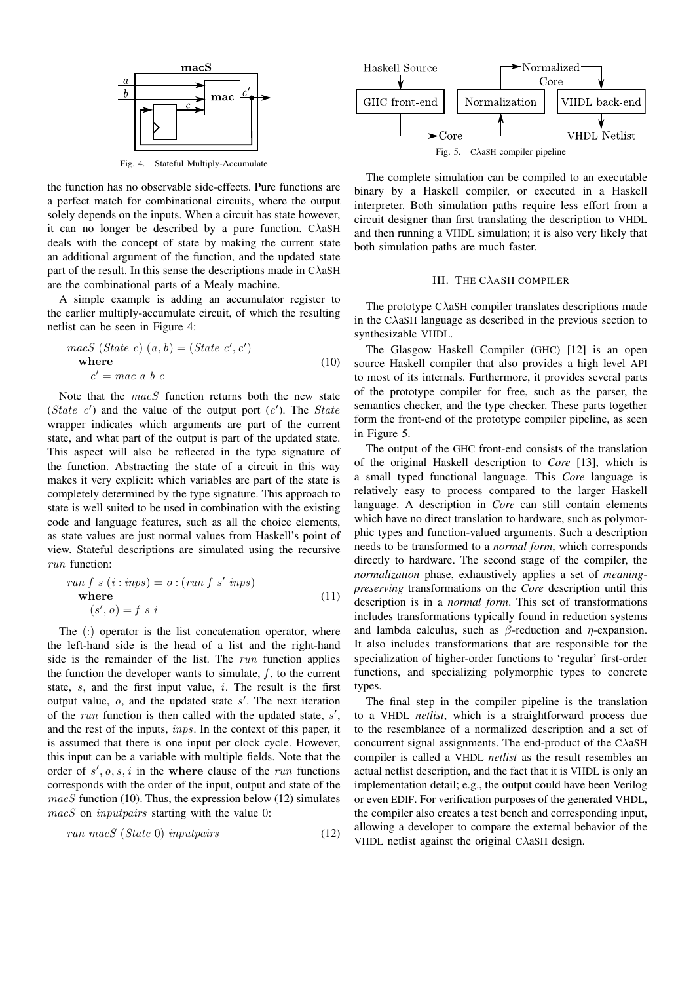

Fig. 4. Stateful Multiply-Accumulate

the function has no observable side-effects. Pure functions are a perfect match for combinational circuits, where the output solely depends on the inputs. When a circuit has state however, it can no longer be described by a pure function. CλaSH deals with the concept of state by making the current state an additional argument of the function, and the updated state part of the result. In this sense the descriptions made in  $C\lambda$ aSH are the combinational parts of a Mealy machine.

A simple example is adding an accumulator register to the earlier multiply-accumulate circuit, of which the resulting netlist can be seen in Figure 4:

$$
macS (State c) (a, b) = (State c', c')
$$
  
where  

$$
c' = mac a b c
$$
 (10)

Note that the macS function returns both the new state (State  $c'$ ) and the value of the output port  $(c')$ . The State wrapper indicates which arguments are part of the current state, and what part of the output is part of the updated state. This aspect will also be reflected in the type signature of the function. Abstracting the state of a circuit in this way makes it very explicit: which variables are part of the state is completely determined by the type signature. This approach to state is well suited to be used in combination with the existing code and language features, such as all the choice elements, as state values are just normal values from Haskell's point of view. Stateful descriptions are simulated using the recursive run function:

$$
run f s (i : inps) = o : (run f s' inps)
$$
  
where  

$$
(s', o) = f s i
$$
 (11)

The (:) operator is the list concatenation operator, where the left-hand side is the head of a list and the right-hand side is the remainder of the list. The run function applies the function the developer wants to simulate,  $f$ , to the current state, s, and the first input value, i. The result is the first output value,  $o$ , and the updated state  $s'$ . The next iteration of the run function is then called with the updated state,  $s'$ , and the rest of the inputs, inps. In the context of this paper, it is assumed that there is one input per clock cycle. However, this input can be a variable with multiple fields. Note that the order of  $s', o, s, i$  in the where clause of the run functions corresponds with the order of the input, output and state of the  $macS$  function (10). Thus, the expression below (12) simulates macS on *inputpairs* starting with the value 0:

$$
run\;macS\; (State\;0)\; inputpairs\qquad \qquad (12)
$$



The complete simulation can be compiled to an executable binary by a Haskell compiler, or executed in a Haskell interpreter. Both simulation paths require less effort from a circuit designer than first translating the description to VHDL and then running a VHDL simulation; it is also very likely that both simulation paths are much faster.

#### III. THE CλASH COMPILER

The prototype  $C\lambda$  as H compiler translates descriptions made in the C $\lambda$ aSH language as described in the previous section to synthesizable VHDL.

The Glasgow Haskell Compiler (GHC) [12] is an open source Haskell compiler that also provides a high level API to most of its internals. Furthermore, it provides several parts of the prototype compiler for free, such as the parser, the semantics checker, and the type checker. These parts together form the front-end of the prototype compiler pipeline, as seen in Figure 5.

The output of the GHC front-end consists of the translation of the original Haskell description to *Core* [13], which is a small typed functional language. This *Core* language is relatively easy to process compared to the larger Haskell language. A description in *Core* can still contain elements which have no direct translation to hardware, such as polymorphic types and function-valued arguments. Such a description needs to be transformed to a *normal form*, which corresponds directly to hardware. The second stage of the compiler, the *normalization* phase, exhaustively applies a set of *meaningpreserving* transformations on the *Core* description until this description is in a *normal form*. This set of transformations includes transformations typically found in reduction systems and lambda calculus, such as  $\beta$ -reduction and  $\eta$ -expansion. It also includes transformations that are responsible for the specialization of higher-order functions to 'regular' first-order functions, and specializing polymorphic types to concrete types.

The final step in the compiler pipeline is the translation to a VHDL *netlist*, which is a straightforward process due to the resemblance of a normalized description and a set of concurrent signal assignments. The end-product of the CλaSH compiler is called a VHDL *netlist* as the result resembles an actual netlist description, and the fact that it is VHDL is only an implementation detail; e.g., the output could have been Verilog or even EDIF. For verification purposes of the generated VHDL, the compiler also creates a test bench and corresponding input, allowing a developer to compare the external behavior of the VHDL netlist against the original CλaSH design.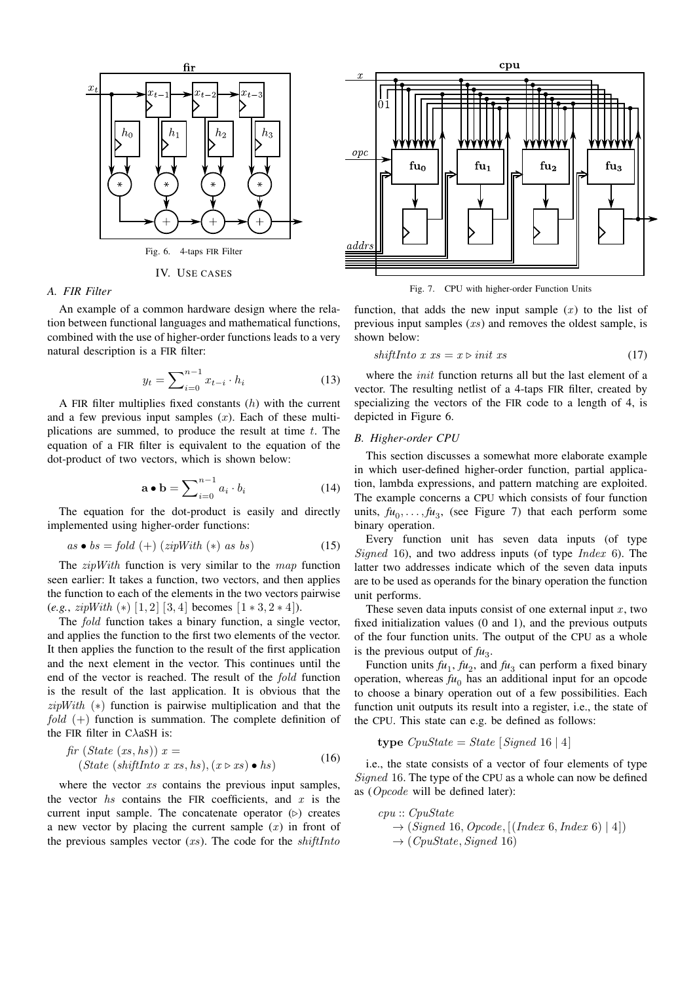

## *A. FIR Filter*

An example of a common hardware design where the relation between functional languages and mathematical functions, combined with the use of higher-order functions leads to a very natural description is a FIR filter:

$$
y_t = \sum_{i=0}^{n-1} x_{t-i} \cdot h_i \tag{13}
$$

A FIR filter multiplies fixed constants  $(h)$  with the current and a few previous input samples  $(x)$ . Each of these multiplications are summed, to produce the result at time  $t$ . The equation of a FIR filter is equivalent to the equation of the dot-product of two vectors, which is shown below:

$$
\mathbf{a} \bullet \mathbf{b} = \sum_{i=0}^{n-1} a_i \cdot b_i \tag{14}
$$

The equation for the dot-product is easily and directly implemented using higher-order functions:

$$
as \bullet bs = fold (+) (zipWith (*) as bs)
$$
 (15)

The  $zipWith$  function is very similar to the  $map$  function seen earlier: It takes a function, two vectors, and then applies the function to each of the elements in the two vectors pairwise (*e.g.*,  $zipWith$  (\*) [1, 2] [3, 4] becomes  $[1 * 3, 2 * 4]$ ).

The fold function takes a binary function, a single vector, and applies the function to the first two elements of the vector. It then applies the function to the result of the first application and the next element in the vector. This continues until the end of the vector is reached. The result of the fold function is the result of the last application. It is obvious that the zipWith (∗) function is pairwise multiplication and that the  $fold (+)$  function is summation. The complete definition of the FIR filter in  $C \lambda$ aSH is:

$$
fir (State (xs, hs)) x =(State (shiftInto x xs, hs), (x \triangleright xs) \bullet hs)
$$
 (16)

where the vector xs contains the previous input samples, the vector  $hs$  contains the FIR coefficients, and  $x$  is the current input sample. The concatenate operator  $(\triangleright)$  creates a new vector by placing the current sample  $(x)$  in front of the previous samples vector  $(xs)$ . The code for the shiftInto



Fig. 7. CPU with higher-order Function Units

function, that adds the new input sample  $(x)$  to the list of previous input samples (xs) and removes the oldest sample, is shown below:

$$
shiftInto x x s = x \triangleright init x s \tag{17}
$$

where the init function returns all but the last element of a vector. The resulting netlist of a 4-taps FIR filter, created by specializing the vectors of the FIR code to a length of 4, is depicted in Figure 6.

## *B. Higher-order CPU*

This section discusses a somewhat more elaborate example in which user-defined higher-order function, partial application, lambda expressions, and pattern matching are exploited. The example concerns a CPU which consists of four function units,  $fu_0, \ldots, fu_3$ , (see Figure 7) that each perform some binary operation.

Every function unit has seven data inputs (of type Signed 16), and two address inputs (of type *Index* 6). The latter two addresses indicate which of the seven data inputs are to be used as operands for the binary operation the function unit performs.

These seven data inputs consist of one external input  $x$ , two fixed initialization values (0 and 1), and the previous outputs of the four function units. The output of the CPU as a whole is the previous output of  $f_{u_3}$ .

Function units  $fu_1, fu_2$ , and  $fu_3$  can perform a fixed binary operation, whereas  $fu_0$  has an additional input for an opcode to choose a binary operation out of a few possibilities. Each function unit outputs its result into a register, i.e., the state of the CPU. This state can e.g. be defined as follows:

$$
type\; CpuState = State\;[{\it Signed}\;16\;|\;4]
$$

i.e., the state consists of a vector of four elements of type Signed 16. The type of the CPU as a whole can now be defined as (Opcode will be defined later):

$$
cpu::CpuState\rightarrow (Signed 16, Opcode, [(Index 6, Index 6) | 4])\rightarrow (CpuState, Signed 16)
$$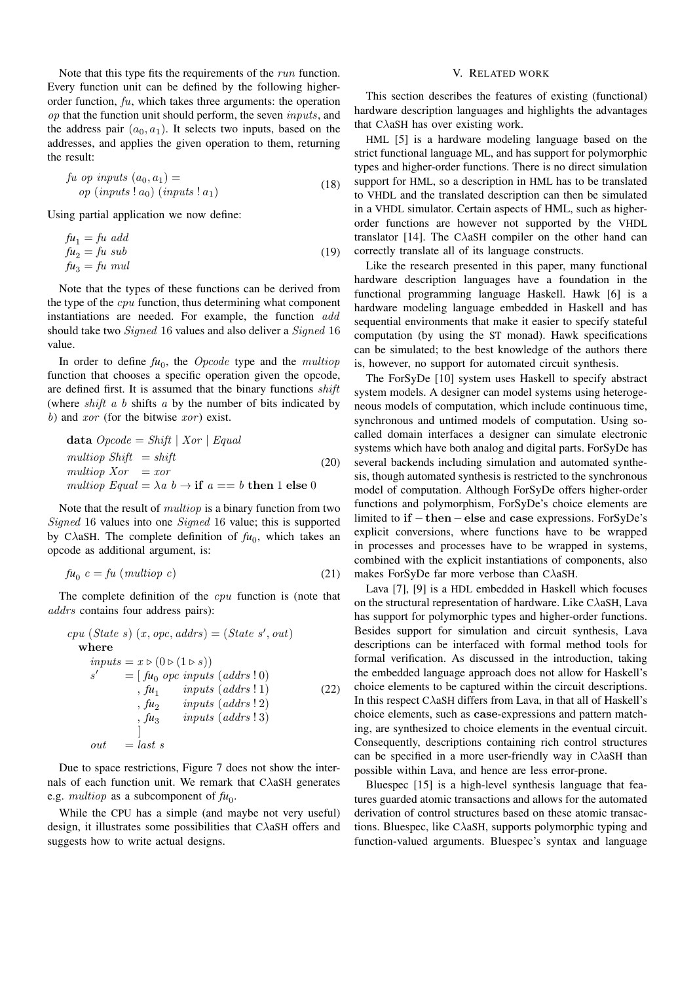Note that this type fits the requirements of the *run* function. Every function unit can be defined by the following higherorder function, fu, which takes three arguments: the operation op that the function unit should perform, the seven inputs, and the address pair  $(a_0, a_1)$ . It selects two inputs, based on the addresses, and applies the given operation to them, returning the result:

$$
fu \text{ } op \text{ } inputs \text{ } (a_0, a_1) =
$$
  
op (inputs ! a<sub>0</sub>) (inputs ! a<sub>1</sub>) (18)

Using partial application we now define:

$$
fu_1 = fu \ addfu_2 = fu \ subfu_3 = fu \ mul
$$
 (19)

Note that the types of these functions can be derived from the type of the  $cpu$  function, thus determining what component instantiations are needed. For example, the function add should take two *Signed* 16 values and also deliver a *Signed* 16 value.

In order to define  $fu_0$ , the Opcode type and the multiop function that chooses a specific operation given the opcode, are defined first. It is assumed that the binary functions shift (where  $shift \, a \, b$  shifts  $a$  by the number of bits indicated by b) and  $xor$  (for the bitwise  $xor$ ) exist.

**data** 
$$
Opcode = Shift | Xor | Equal
$$
  
\n*multiple Shift* = *shift*  
\n*multiple Xor* = *xor*  
\n*multiple Equal* =  $\lambda a b \rightarrow \text{if } a == b \text{ then } 1 \text{ else } 0$  (20)

Note that the result of multiop is a binary function from two Signed 16 values into one Signed 16 value; this is supported by C $\lambda$ aSH. The complete definition of  $fu_0$ , which takes an opcode as additional argument, is:

$$
fu_0 \ c = fu \ (multiop \ c)
$$
 (21)

The complete definition of the cpu function is (note that addrs contains four address pairs):

$$
cpu (State s) (x, opc, address) = (State s', out)
$$
  
\nwhere  
\n
$$
inputs = x \triangleright (0 \triangleright (1 \triangleright s))
$$
  
\n
$$
s' = [f\mu_0 opc inputs (address 10)
$$
  
\n
$$
, fu_1 \quad inputs (address 11)
$$
  
\n
$$
, fu_2 \quad inputs (address 12)
$$
  
\n
$$
, fu_3 \quad inputs (address 13)
$$
  
\n
$$
out = last s
$$

Due to space restrictions, Figure 7 does not show the internals of each function unit. We remark that  $C\lambda$ aSH generates e.g. *multiop* as a subcomponent of  $f_{u_0}$ .

While the CPU has a simple (and maybe not very useful) design, it illustrates some possibilities that CλaSH offers and suggests how to write actual designs.

### V. RELATED WORK

This section describes the features of existing (functional) hardware description languages and highlights the advantages that  $C\lambda$ aSH has over existing work.

HML [5] is a hardware modeling language based on the strict functional language ML, and has support for polymorphic types and higher-order functions. There is no direct simulation support for HML, so a description in HML has to be translated to VHDL and the translated description can then be simulated in a VHDL simulator. Certain aspects of HML, such as higherorder functions are however not supported by the VHDL translator [14]. The C $\lambda$ aSH compiler on the other hand can correctly translate all of its language constructs.

Like the research presented in this paper, many functional hardware description languages have a foundation in the functional programming language Haskell. Hawk [6] is a hardware modeling language embedded in Haskell and has sequential environments that make it easier to specify stateful computation (by using the ST monad). Hawk specifications can be simulated; to the best knowledge of the authors there is, however, no support for automated circuit synthesis.

The ForSyDe [10] system uses Haskell to specify abstract system models. A designer can model systems using heterogeneous models of computation, which include continuous time, synchronous and untimed models of computation. Using socalled domain interfaces a designer can simulate electronic systems which have both analog and digital parts. ForSyDe has several backends including simulation and automated synthesis, though automated synthesis is restricted to the synchronous model of computation. Although ForSyDe offers higher-order functions and polymorphism, ForSyDe's choice elements are limited to if − then − else and case expressions. ForSyDe's explicit conversions, where functions have to be wrapped in processes and processes have to be wrapped in systems, combined with the explicit instantiations of components, also makes ForSyDe far more verbose than CλaSH.

Lava [7], [9] is a HDL embedded in Haskell which focuses on the structural representation of hardware. Like CλaSH, Lava has support for polymorphic types and higher-order functions. Besides support for simulation and circuit synthesis, Lava descriptions can be interfaced with formal method tools for formal verification. As discussed in the introduction, taking the embedded language approach does not allow for Haskell's choice elements to be captured within the circuit descriptions. In this respect  $C\lambda$  as H differs from Lava, in that all of Haskell's choice elements, such as case-expressions and pattern matching, are synthesized to choice elements in the eventual circuit. Consequently, descriptions containing rich control structures can be specified in a more user-friendly way in  $C\lambda$ aSH than possible within Lava, and hence are less error-prone.

Bluespec [15] is a high-level synthesis language that features guarded atomic transactions and allows for the automated derivation of control structures based on these atomic transactions. Bluespec, like CλaSH, supports polymorphic typing and function-valued arguments. Bluespec's syntax and language